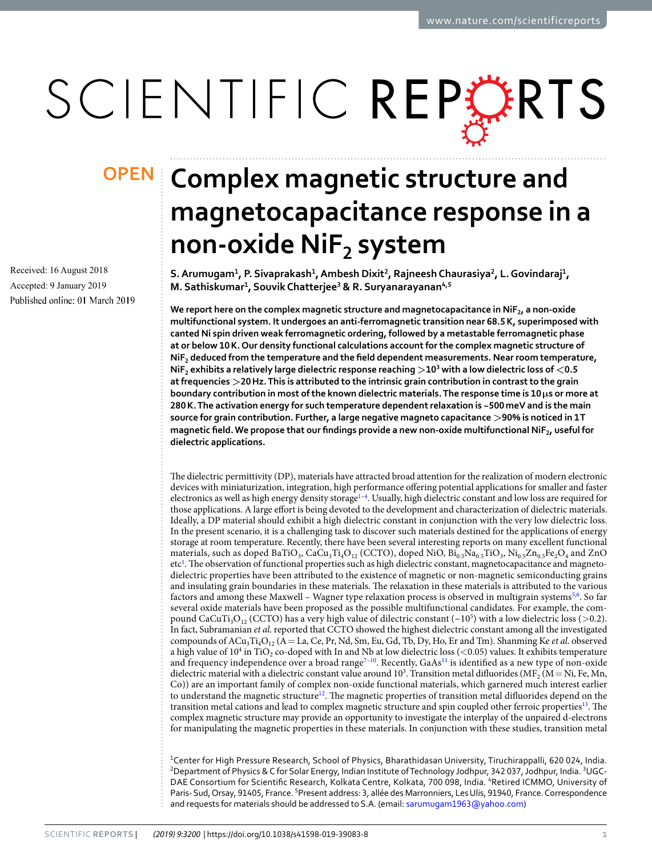# SCIENTIFIC REPORTS

Received: 16 August 2018 Accepted: 9 January 2019 Published online: 01 March 2019

## **Complex magnetic structure and OPENmagnetocapacitance response in a non-oxide NiF<sup>2</sup> system**

**S. Arumugam<sup>1</sup> , P. Sivaprakash<sup>1</sup> , Ambesh Dixit<sup>2</sup> , Rajneesh Chaurasiya<sup>2</sup> , L. Govindaraj<sup>1</sup> , M. Sathiskumar<sup>1</sup> , Souvik Chatterjee<sup>3</sup> & R. Suryanarayanan4,5**

**We report here on the complex magnetic structure and magnetocapacitance in NiF<sup>2</sup> , a non-oxide multifunctional system. It undergoes an anti-ferromagnetic transition near 68.5 K, superimposed with canted Ni spin driven weak ferromagnetic ordering, followed by a metastable ferromagnetic phase at or below 10 K. Our density functional calculations account for the complex magnetic structure of NiF<sup>2</sup> deduced from the temperature and the field dependent measurements. Near room temperature, NiF<sup>2</sup> exhibits a relatively large dielectric response reaching >10<sup>3</sup> with a low dielectric loss of <0.5 at frequencies >20 Hz. This is attributed to the intrinsic grain contribution in contrast to the grain boundary contribution in most of the known dielectric materials. The response time is**  $10 \mu s$  **or more at 280 K. The activation energy for such temperature dependent relaxation is ~500 meV and is the main source for grain contribution. Further, a large negative magneto capacitance >90% is noticed in 1 T magnetic field. We propose that our findings provide a new non-oxide multifunctional NiF<sup>2</sup> , useful for dielectric applications.**

The dielectric permittivity (DP), materials have attracted broad attention for the realization of modern electronic devices with miniaturization, integration, high performance offering potential applications for smaller and faster electronics as well as high energy density storage<sup>1-[4](#page-6-1)</sup>. Usually, high dielectric constant and low loss are required for those applications. A large effort is being devoted to the development and characterization of dielectric materials. Ideally, a DP material should exhibit a high dielectric constant in conjunction with the very low dielectric loss. In the present scenario, it is a challenging task to discover such materials destined for the applications of energy storage at room temperature. Recently, there have been several interesting reports on many excellent functional materials, such as doped BaTiO<sub>3</sub>, CaCu<sub>3</sub>Ti<sub>4</sub>O<sub>12</sub> (CCTO), doped NiO,  $Bi_{0.5}Na_{0.5}TiO_3$ ,  $Ni_{0.5}Zn_{0.5}Fe_2O_4$  and ZnO etc<sup>[1](#page-6-0)</sup>. The observation of functional properties such as high dielectric constant, magnetocapacitance and magnetodielectric properties have been attributed to the existence of magnetic or non-magnetic semiconducting grains and insulating grain boundaries in these materials. The relaxation in these materials is attributed to the various factors and among these Maxwell - Wagner type relaxation process is observed in multigrain systems<sup>[5](#page-6-2),[6](#page-6-3)</sup>. So far several oxide materials have been proposed as the possible multifunctional candidates. For example, the compound CaCuTi<sub>3</sub>O<sub>12</sub> (CCTO) has a very high value of dilectric constant (~10<sup>5</sup>) with a low dielectric loss (>0.2). In fact, Subramanian et al. reported that CCTO showed the highest dielectric constant among all the investigated compounds of  $ACu_3Ti_4O_{12}$  (A = La, Ce, Pr, Nd, Sm, Eu, Gd, Tb, Dy, Ho, Er and Tm). Shanming Ke *et al.* observed a high value of  $10^4$  in TiO<sub>2</sub> co-doped with In and Nb at low dielectric loss (<0.05) values. It exhibits temperature and frequency independence over a broad range<sup>[7](#page-6-4)-10</sup>. Recently, GaAs<sup>[11](#page-6-6)</sup> is identified as a new type of non-oxide dielectric material with a dielectric constant value around  $10^3$ . Transition metal difluorides (MF<sub>2</sub> (M = Ni, Fe, Mn, Co)) are an important family of complex non-oxide functional materials, which garnered much interest earlier to understand the magnetic structure<sup>[12](#page-6-7)</sup>. The magnetic properties of transition metal difluorides depend on the transition metal cations and lead to complex magnetic structure and spin coupled other ferroic properties<sup>[13](#page-6-8)</sup>. The complex magnetic structure may provide an opportunity to investigate the interplay of the unpaired d-electrons for manipulating the magnetic properties in these materials. In conjunction with these studies, transition metal

<sup>1</sup>Center for High Pressure Research, School of Physics, Bharathidasan University, Tiruchirappalli, 620 024, India. <sup>2</sup>Department of Physics & C for Solar Energy, Indian Institute of Technology Jodhpur, 342 037, Jodhpur, India. <sup>3</sup>UGC-DAE Consortium for Scientific Research, Kolkata Centre, Kolkata, 700 098, India. <sup>4</sup>Retired ICMMO, University of Paris- Sud, Orsay, 91405, France. <sup>5</sup>Present address: 3, allée des Marronniers, Les Ulis, 91940, France. Correspondence and requests for materials should be addressed to S.A. (email: [sarumugam1963@yahoo.com](mailto:sarumugam1963@yahoo.com))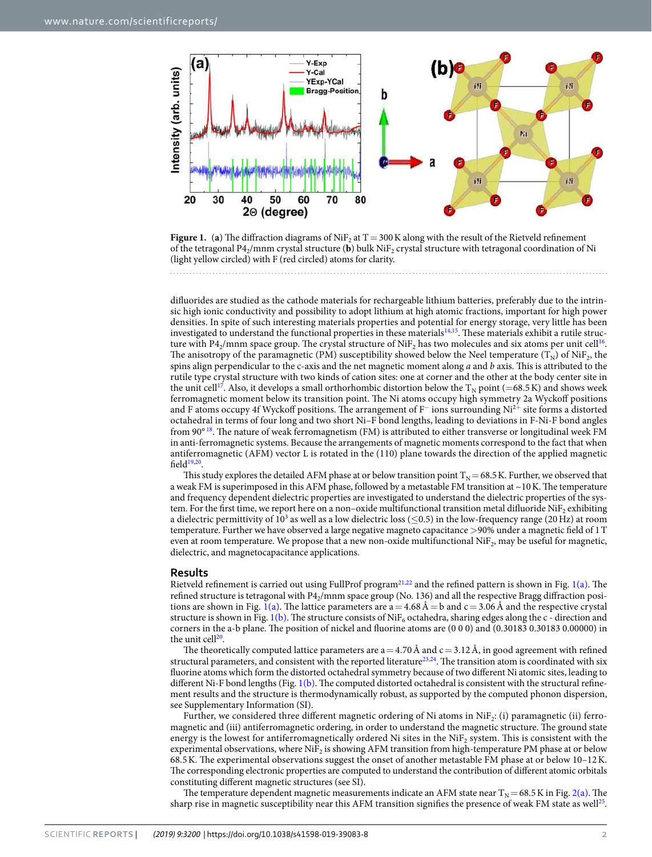

<span id="page-1-0"></span>**Figure 1.** (a) The diffraction diagrams of  $N$ i $F_2$  at T = 300 K along with the result of the Rietveld refinement of the tetragonal P4<sub>2</sub>/mnm crystal structure (**b**) bulk NiF<sub>2</sub> crystal structure with tetragonal coordination of Ni (light yellow circled) with F (red circled) atoms for clarity.

difluorides are studied as the cathode materials for rechargeable lithium batteries, preferably due to the intrinsic high ionic conductivity and possibility to adopt lithium at high atomic fractions, important for high power densities. In spite of such interesting materials properties and potential for energy storage, very little has been investigated to understand the functional properties in these materials<sup>[14](#page-6-9),[15](#page-6-10)</sup>. These materials exhibit a rutile struc-ture with P4<sub>2</sub>/mnm space group. The crystal structure of NiF<sub>2</sub> has two molecules and six atoms per unit cell<sup>[16](#page-6-11)</sup>. The anisotropy of the paramagnetic (PM) susceptibility showed below the Neel temperature ( $T_N$ ) of NiF<sub>2</sub>, the spins align perpendicular to the c-axis and the net magnetic moment along  $a$  and  $b$  axis. This is attributed to the rutile type crystal structure with two kinds of cation sites: one at corner and the other at the body center site in the unit cell<sup>[17](#page-6-12)</sup>. Also, it develops a small orthorhombic distortion below the  $T_N$  point (=68.5 K) and shows week ferromagnetic moment below its transition point. The Ni atoms occupy high symmetry 2a Wyckoff positions and F atoms occupy 4f Wyckoff positions. The arrangement of F<sup>−</sup> ions surrounding Ni<sup>2</sup><sup>+</sup> site forms a distorted octahedral in terms of four long and two short Ni–F bond lengths, leading to deviations in F-Ni-F bond angles from 90° [18](#page-6-13). The nature of weak ferromagnetism (FM) is attributed to either transverse or longitudinal week FM in anti-ferromagnetic systems. Because the arrangements of magnetic moments correspond to the fact that when antiferromagnetic (AFM) vector L is rotated in the (110) plane towards the direction of the applied magnetic field $19,20$  $19,20$ .

This study explores the detailed AFM phase at or below transition point  $T_N$  = 68.5 K. Further, we observed that a weak FM is superimposed in this AFM phase, followed by a metastable FM transition at ~10 K. The temperature and frequency dependent dielectric properties are investigated to understand the dielectric properties of the system. For the first time, we report here on a non–oxide multifunctional transition metal difluoride NiF<sub>2</sub> exhibiting a dielectric permittivity of 10<sup>3</sup> as well as a low dielectric loss ( $\leq$ 0.5) in the low-frequency range (20 Hz) at room temperature. Further we have observed a large negative magneto capacitance >90% under a magnetic field of 1 T even at room temperature. We propose that a new non-oxide multifunctional  $\text{NiF}_2$ , may be useful for magnetic, dielectric, and magnetocapacitance applications.

#### **Results**

Rietveld refinement is carried out using FullProf program<sup>[21,](#page-6-16)[22](#page-6-17)</sup> and the refined pattern is shown in Fig. [1\(a\)](#page-1-0). The refined structure is tetragonal with P4<sup>2</sup> /mnm space group (No. 136) and all the respective Bragg diffraction posi-tions are shown in Fig. [1\(a\)](#page-1-0). The lattice parameters are  $a = 4.68 \text{ Å} = b$  and  $c = 3.06 \text{ Å}$  and the respective crystal structure is shown in Fig. [1\(b\).](#page-1-0) The structure consists of NiF<sub>6</sub> octahedra, sharing edges along the c - direction and corners in the a-b plane. The position of nickel and fluorine atoms are (0 0 0) and (0.30183 0.30183 0.00000) in the unit cell<sup>[20](#page-6-15)</sup>.

The theoretically computed lattice parameters are  $a = 4.70 \text{ Å}$  and  $c = 3.12 \text{ Å}$ , in good agreement with refined structural parameters, and consistent with the reported literature<sup>[23,](#page-7-0)[24](#page-7-1)</sup>. The transition atom is coordinated with six fluorine atoms which form the distorted octahedral symmetry because of two different Ni atomic sites, leading to different Ni-F bond lengths (Fig. [1\(b\).](#page-1-0) The computed distorted octahedral is consistent with the structural refinement results and the structure is thermodynamically robust, as supported by the computed phonon dispersion, see Supplementary Information (SI).

Further, we considered three different magnetic ordering of Ni atoms in  $N$ i $F_2$ : (i) paramagnetic (ii) ferromagnetic and (iii) antiferromagnetic ordering, in order to understand the magnetic structure. The ground state energy is the lowest for antiferromagnetically ordered Ni sites in the NiF<sub>2</sub> system. This is consistent with the experimental observations, where NiF<sub>2</sub> is showing AFM transition from high-temperature PM phase at or below 68.5 K. The experimental observations suggest the onset of another metastable FM phase at or below 10–12 K. The corresponding electronic properties are computed to understand the contribution of different atomic orbitals constituting different magnetic structures (see SI).

The temperature dependent magnetic measurements indicate an AFM state near  $T_N$  = 68.5 K in Fig. [2\(a\)](#page-2-0). The sharp rise in magnetic susceptibility near this AFM transition signifies the presence of weak FM state as well $^{25}$  $^{25}$  $^{25}$ .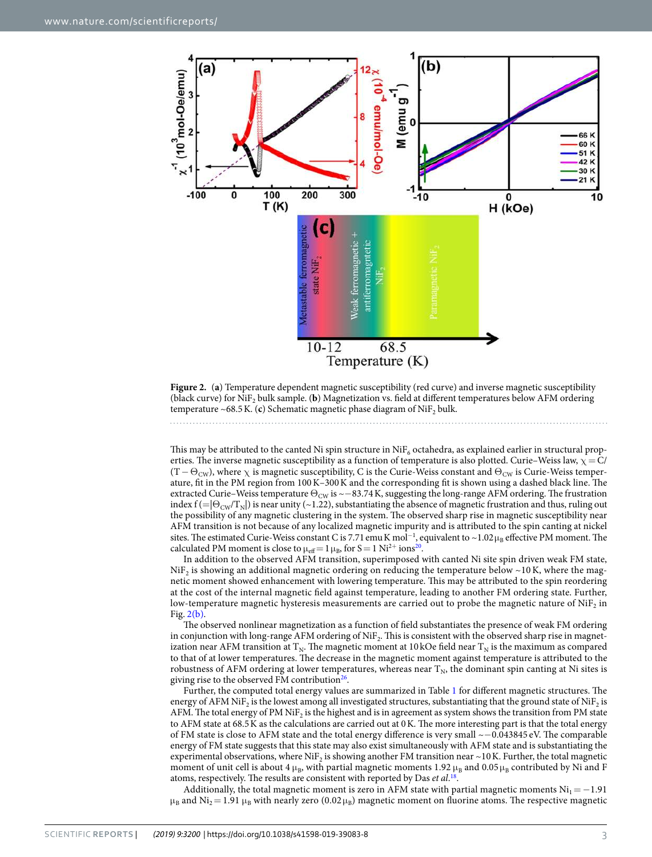

<span id="page-2-0"></span>**Figure 2.** (**a**) Temperature dependent magnetic susceptibility (red curve) and inverse magnetic susceptibility (black curve) for  $N$ i $F_2$  bulk sample. (**b**) Magnetization vs. field at different temperatures below AFM ordering temperature ~68.5 K. (**c**) Schematic magnetic phase diagram of  $\text{NiF}_2$  bulk.

This may be attributed to the canted Ni spin structure in  $\mathrm{NiF_6}$  octahedra, as explained earlier in structural properties. The inverse magnetic susceptibility as a function of temperature is also plotted. Curie–Weiss law,  $\chi = C/$  $(T - \Theta_{\text{CW}})$ , where  $\chi$  is magnetic susceptibility, C is the Curie-Weiss constant and  $\Theta_{\text{CW}}$  is Curie-Weiss temperature, fit in the PM region from 100 K–300 K and the corresponding fit is shown using a dashed black line. The extracted Curie–Weiss temperature  $\Theta_{\text{CW}}$  is  $\sim$ −83.74 K, suggesting the long-range AFM ordering. The frustration index  $f = |\Theta_{\text{CW}}/T_N|$  is near unity (~1.22), substantiating the absence of magnetic frustration and thus, ruling out the possibility of any magnetic clustering in the system. The observed sharp rise in magnetic susceptibility near AFM transition is not because of any localized magnetic impurity and is attributed to the spin canting at nickel sites. The estimated Curie-Weiss constant C is 7.71 emu K mol<sup>-1</sup>, equivalent to ~1.02  $\mu_B$  effective PM moment. The calculated PM moment is close to  $\mu_{\text{eff}} = 1 \mu_{\text{B}}$ , for S = 1 Ni<sup>2+</sup> ions<sup>[20](#page-6-15)</sup>.

In addition to the observed AFM transition, superimposed with canted Ni site spin driven weak FM state, NiF<sub>2</sub> is showing an additional magnetic ordering on reducing the temperature below ~10 K, where the magnetic moment showed enhancement with lowering temperature. This may be attributed to the spin reordering at the cost of the internal magnetic field against temperature, leading to another FM ordering state. Further, low-temperature magnetic hysteresis measurements are carried out to probe the magnetic nature of NiF<sub>2</sub> in Fig. [2\(b\)](#page-2-0).

The observed nonlinear magnetization as a function of field substantiates the presence of weak FM ordering in conjunction with long-range AFM ordering of NiF<sub>2</sub>. This is consistent with the observed sharp rise in magnetization near AFM transition at  $T_N$ . The magnetic moment at 10 kOe field near  $T_N$  is the maximum as compared to that of at lower temperatures. The decrease in the magnetic moment against temperature is attributed to the robustness of AFM ordering at lower temperatures, whereas near  $T_N$ , the dominant spin canting at Ni sites is giving rise to the observed FM contribution<sup>[26](#page-7-3)</sup>.

Further, the computed total energy values are summarized in Table [1](#page-3-0) for different magnetic structures. The energy of AFM NiF<sub>2</sub> is the lowest among all investigated structures, substantiating that the ground state of NiF<sub>2</sub> is AFM. The total energy of PM NiF<sub>2</sub> is the highest and is in agreement as system shows the transition from PM state to AFM state at 68.5 K as the calculations are carried out at 0 K. The more interesting part is that the total energy of FM state is close to AFM state and the total energy difference is very small ~−0.043845 eV. The comparable energy of FM state suggests that this state may also exist simultaneously with AFM state and is substantiating the experimental observations, where NiF<sub>2</sub> is showing another FM transition near ~10 K. Further, the total magnetic moment of unit cell is about 4  $\mu_B$ , with partial magnetic moments 1.92  $\mu_B$  and 0.05  $\mu_B$  contributed by Ni and F atoms, respectively. The results are consistent with reported by Das et al.<sup>[18](#page-6-13)</sup>.

Additionally, the total magnetic moment is zero in AFM state with partial magnetic moments  $Ni<sub>1</sub> = −1.91$  $\mu_B$  and  $\rm Ni_2$  = 1.91  $\mu_B$  with nearly zero (0.02  $\mu_B$ ) magnetic moment on fluorine atoms. The respective magnetic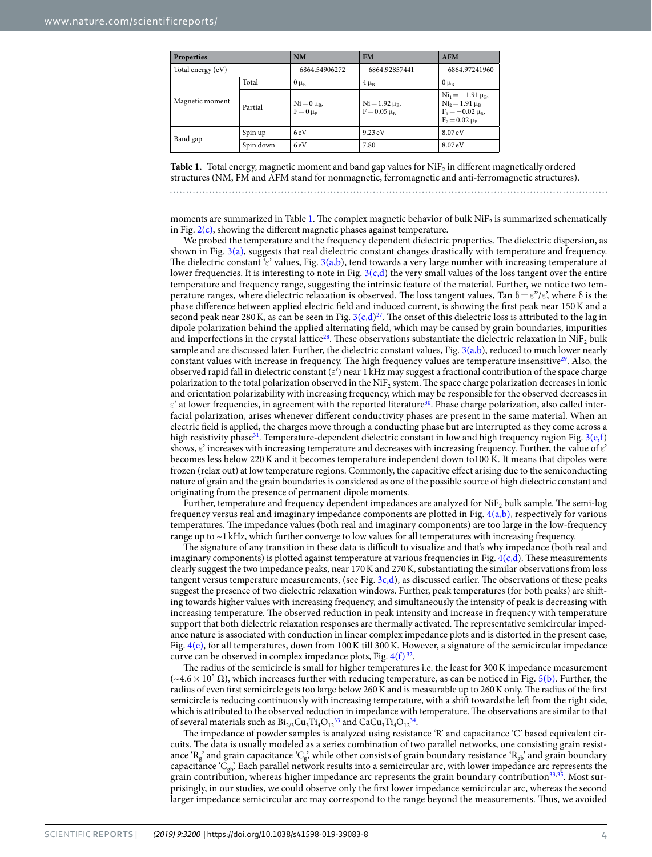<span id="page-3-0"></span>

| <b>Properties</b> |           | <b>NM</b>                       | <b>FM</b>                             | <b>AFM</b>                                                                                         |
|-------------------|-----------|---------------------------------|---------------------------------------|----------------------------------------------------------------------------------------------------|
| Total energy (eV) |           | -6864.54906272                  | $-6864.92857441$                      | $-6864.97241960$                                                                                   |
| Magnetic moment   | Total     | $0 \mu_B$                       | $4 \mu_B$                             | $0 \mu_R$                                                                                          |
|                   | Partial   | $Ni = 0 \mu_B$<br>$F = 0 \mu_R$ | $Ni = 1.92 \mu_B$<br>$F = 0.05 \mu_B$ | $\mathrm{Ni}_{1} = -1.91 \mu_{B}$<br>$Ni2=1.91 \mu_B$<br>$F_1 = -0.02 \mu_B$<br>$F_2 = 0.02 \mu_B$ |
| Band gap          | Spin up   | 6eV                             | $9.23 \text{ eV}$                     | 8.07 eV                                                                                            |
|                   | Spin down | 6eV                             | 7.80                                  | 8.07 eV                                                                                            |

**Table 1.** Total energy, magnetic moment and band gap values for  $\mathrm{NiF}_2$  in different magnetically ordered structures (NM, FM and AFM stand for nonmagnetic, ferromagnetic and anti-ferromagnetic structures).

moments are summarized in Table [1.](#page-3-0) The complex magnetic behavior of bulk  $\mathrm{NiF}_2$  is summarized schematically in Fig.  $2(c)$ , showing the different magnetic phases against temperature.

We probed the temperature and the frequency dependent dielectric properties. The dielectric dispersion, as shown in Fig. [3\(a\),](#page-4-0) suggests that real dielectric constant changes drastically with temperature and frequency. The dielectric constant  $\epsilon$ <sup>2</sup> values, Fig. [3\(a,b\)](#page-4-0), tend towards a very large number with increasing temperature at lower frequencies. It is interesting to note in Fig. [3\(c,d](#page-4-0)) the very small values of the loss tangent over the entire temperature and frequency range, suggesting the intrinsic feature of the material. Further, we notice two temperature ranges, where dielectric relaxation is observed. The loss tangent values, Tan δ=ε"/ε', where δ is the phase difference between applied electric field and induced current, is showing the first peak near 150 K and a second peak near 280 K, as can be seen in Fig.  $3(c,d)^{27}$  $3(c,d)^{27}$  $3(c,d)^{27}$ . The onset of this dielectric loss is attributed to the lag in dipole polarization behind the applied alternating field, which may be caused by grain boundaries, impurities and imperfections in the crystal lattice<sup>[28](#page-7-5)</sup>. These observations substantiate the dielectric relaxation in NiF<sub>2</sub> bulk sample and are discussed later. Further, the dielectric constant values, Fig.  $3(a,b)$ , reduced to much lower nearly constant values with increase in frequency. The high frequency values are temperature insensitive<sup>[29](#page-7-6)</sup>. Also, the observed rapid fall in dielectric constant ( $\varepsilon'$ ) near 1 kHz may suggest a fractional contribution of the space charge polarization to the total polarization observed in the Ni $F_2$  system. The space charge polarization decreases in ionic and orientation polarizability with increasing frequency, which may be responsible for the observed decreases in  $ε$ ' at lower frequencies, in agreement with the reported literature<sup>[30](#page-7-7)</sup>. Phase charge polarization, also called interfacial polarization, arises whenever different conductivity phases are present in the same material. When an electric field is applied, the charges move through a conducting phase but are interrupted as they come across a high resistivity phase<sup>[31](#page-7-8)</sup>. Temperature-dependent dielectric constant in low and high frequency region Fig. [3\(e,f\)](#page-4-0) shows, ε' increases with increasing temperature and decreases with increasing frequency. Further, the value of ε' becomes less below 220 K and it becomes temperature independent down to100 K. It means that dipoles were frozen (relax out) at low temperature regions. Commonly, the capacitive effect arising due to the semiconducting nature of grain and the grain boundaries is considered as one of the possible source of high dielectric constant and originating from the presence of permanent dipole moments.

Further, temperature and frequency dependent impedances are analyzed for NiF<sub>2</sub> bulk sample. The semi-log frequency versus real and imaginary impedance components are plotted in Fig. [4\(a,b\)](#page-4-1), respectively for various temperatures. The impedance values (both real and imaginary components) are too large in the low-frequency range up to ~1 kHz, which further converge to low values for all temperatures with increasing frequency.

The signature of any transition in these data is difficult to visualize and that's why impedance (both real and imaginary components) is plotted against temperature at various frequencies in Fig.  $4(c,d)$ . These measurements clearly suggest the two impedance peaks, near 170 K and 270 K, substantiating the similar observations from loss tangent versus temperature measurements, (see Fig. [3c,d](#page-4-0)), as discussed earlier. The observations of these peaks suggest the presence of two dielectric relaxation windows. Further, peak temperatures (for both peaks) are shifting towards higher values with increasing frequency, and simultaneously the intensity of peak is decreasing with increasing temperature. The observed reduction in peak intensity and increase in frequency with temperature support that both dielectric relaxation responses are thermally activated. The representative semicircular impedance nature is associated with conduction in linear complex impedance plots and is distorted in the present case, Fig.  $4(e)$ , for all temperatures, down from 100 K till 300 K. However, a signature of the semicircular impedance curve can be observed in complex impedance plots, Fig.  $4(f)^{32}$  $4(f)^{32}$  $4(f)^{32}$ .

The radius of the semicircle is small for higher temperatures i.e. the least for 300 K impedance measurement  $(\sim4.6\times10^5$  Ω), which increases further with reducing temperature, as can be noticed in Fig. [5\(b\)](#page-5-0). Further, the radius of even first semicircle gets too large below 260 K and is measurable up to 260 K only. The radius of the first semicircle is reducing continuously with increasing temperature, with a shift towardsthe left from the right side, which is attributed to the observed reduction in impedance with temperature. The observations are similar to that of several materials such as  $Bi_{2/3}Cu_{3}Ti_{4}O_{12}^{33}$  $Bi_{2/3}Cu_{3}Ti_{4}O_{12}^{33}$  $Bi_{2/3}Cu_{3}Ti_{4}O_{12}^{33}$  and  $CaCu_{3}Ti_{4}O_{12}^{34}$  $CaCu_{3}Ti_{4}O_{12}^{34}$  $CaCu_{3}Ti_{4}O_{12}^{34}$ .

The impedance of powder samples is analyzed using resistance 'R' and capacitance 'C' based equivalent circuits. The data is usually modeled as a series combination of two parallel networks, one consisting grain resistance ' $R_g$ ' and grain capacitance 'C<sub>g</sub>', while other consists of grain boundary resistance 'R<sub>gb</sub>' and grain boundary capacitance ' $C_{gb}$ '. Each parallel network results into a semicircular arc, with lower impedance arc represents the grain contribution, whereas higher impedance arc represents the grain boundary contribution<sup>[33,](#page-7-10)[35](#page-7-12)</sup>. Most surprisingly, in our studies, we could observe only the first lower impedance semicircular arc, whereas the second larger impedance semicircular arc may correspond to the range beyond the measurements. Thus, we avoided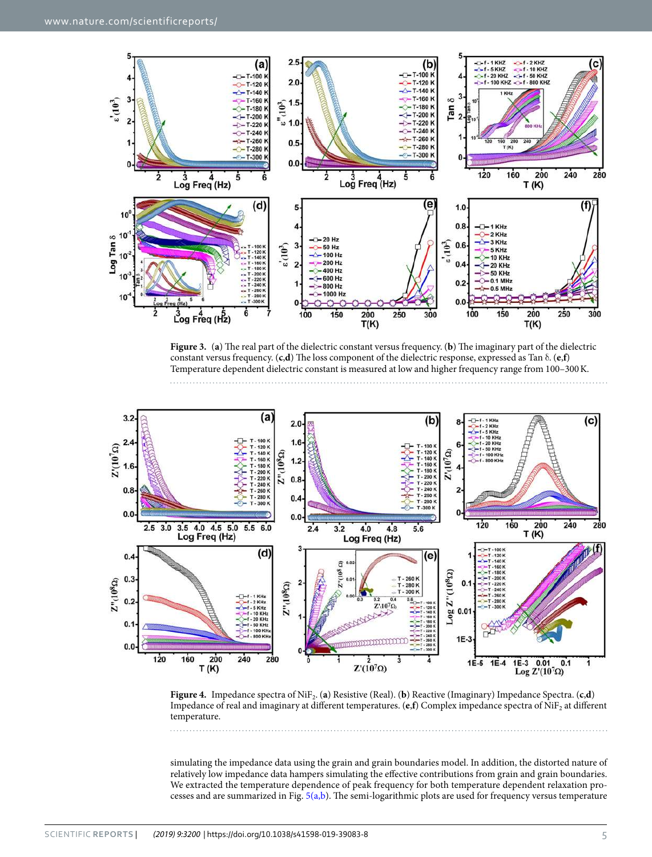

<span id="page-4-0"></span>**Figure 3.** (**a**) The real part of the dielectric constant versus frequency. (**b**) The imaginary part of the dielectric constant versus frequency. (**c**,**d**) The loss component of the dielectric response, expressed as Tan δ. (**e**,**f**) Temperature dependent dielectric constant is measured at low and higher frequency range from 100–300 K.



<span id="page-4-1"></span>**Figure 4.** Impedance spectra of NiF<sub>2</sub>. (a) Resistive (Real). (b) Reactive (Imaginary) Impedance Spectra. (c,**d**) Impedance of real and imaginary at different temperatures.  $(e, f)$  Complex impedance spectra of  $NiF<sub>2</sub>$  at different temperature.

simulating the impedance data using the grain and grain boundaries model. In addition, the distorted nature of relatively low impedance data hampers simulating the effective contributions from grain and grain boundaries. We extracted the temperature dependence of peak frequency for both temperature dependent relaxation processes and are summarized in Fig. [5\(a,b](#page-5-0)). The semi-logarithmic plots are used for frequency versus temperature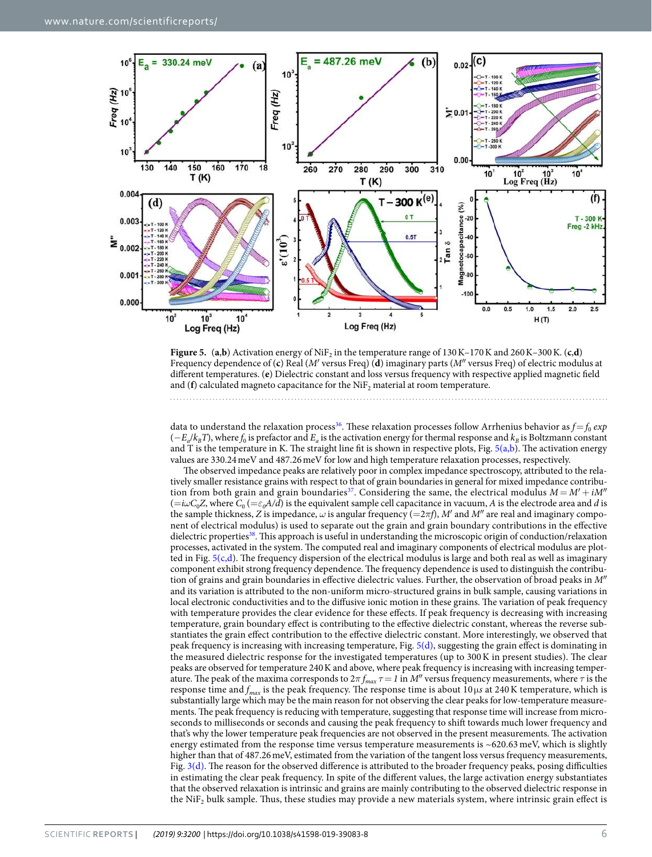

<span id="page-5-0"></span>**Figure 5.** (a,b) Activation energy of NiF<sub>2</sub> in the temperature range of  $130 \text{ K}$ –170 K and  $260 \text{ K}$ –300 K. (c,d) Frequency dependence of (**c**) Real (M′ versus Freq) (**d**) imaginary parts (M″ versus Freq) of electric modulus at different temperatures. (**e**) Dielectric constant and loss versus frequency with respective applied magnetic field and ( $f$ ) calculated magneto capacitance for the  $\mathrm{NiF_{2}}$  material at room temperature.

data to understand the relaxation process<sup>[36](#page-7-13)</sup>. These relaxation processes follow Arrhenius behavior as  $f=f_0$  exp  $(-E_a/k_B T)$ , where  $f_0$  is prefactor and  $E_a$  is the activation energy for thermal response and  $k_B$  is Boltzmann constant and T is the temperature in K. The straight line fit is shown in respective plots, Fig.  $5(a,b)$ . The activation energy values are 330.24 meV and 487.26 meV for low and high temperature relaxation processes, respectively.

The observed impedance peaks are relatively poor in complex impedance spectroscopy, attributed to the relatively smaller resistance grains with respect to that of grain boundaries in general for mixed impedance contribu-tion from both grain and grain boundaries<sup>[37](#page-7-14)</sup>. Considering the same, the electrical modulus  $M = M' + iM''$  $(=i\omega C_0 Z$ , where  $C_0$   $(=\varepsilon_0 A/d)$  is the equivalent sample cell capacitance in vacuum, A is the electrode area and d is the sample thickness, Z is impedance,  $\omega$  is angular frequency (=2*πf)*, M' and M'' are real and imaginary component of electrical modulus) is used to separate out the grain and grain boundary contributions in the effective dielectric properties<sup>[38](#page-7-15)</sup>. This approach is useful in understanding the microscopic origin of conduction/relaxation processes, activated in the system. The computed real and imaginary components of electrical modulus are plotted in Fig.  $5(c,d)$ . The frequency dispersion of the electrical modulus is large and both real as well as imaginary component exhibit strong frequency dependence. The frequency dependence is used to distinguish the contribution of grains and grain boundaries in effective dielectric values. Further, the observation of broad peaks in M″ and its variation is attributed to the non-uniform micro-structured grains in bulk sample, causing variations in local electronic conductivities and to the diffusive ionic motion in these grains. The variation of peak frequency with temperature provides the clear evidence for these effects. If peak frequency is decreasing with increasing temperature, grain boundary effect is contributing to the effective dielectric constant, whereas the reverse substantiates the grain effect contribution to the effective dielectric constant. More interestingly, we observed that peak frequency is increasing with increasing temperature, Fig. [5\(d\),](#page-5-0) suggesting the grain effect is dominating in the measured dielectric response for the investigated temperatures (up to 300 K in present studies). The clear peaks are observed for temperature 240 K and above, where peak frequency is increasing with increasing temperature. The peak of the maxima corresponds to  $2\pi f_{max} \tau = 1$  in M'' versus frequency measurements, where  $\tau$  is the response time and  $f_{max}$  is the peak frequency. The response time is about  $10 \mu s$  at 240 K temperature, which is substantially large which may be the main reason for not observing the clear peaks for low-temperature measurements. The peak frequency is reducing with temperature, suggesting that response time will increase from microseconds to milliseconds or seconds and causing the peak frequency to shift towards much lower frequency and that's why the lower temperature peak frequencies are not observed in the present measurements. The activation energy estimated from the response time versus temperature measurements is  $~620.63$  meV, which is slightly higher than that of 487.26 meV, estimated from the variation of the tangent loss versus frequency measurements, Fig. [3\(d\)](#page-4-0). The reason for the observed difference is attributed to the broader frequency peaks, posing difficulties in estimating the clear peak frequency. In spite of the different values, the large activation energy substantiates that the observed relaxation is intrinsic and grains are mainly contributing to the observed dielectric response in the NiF<sub>2</sub> bulk sample. Thus, these studies may provide a new materials system, where intrinsic grain effect is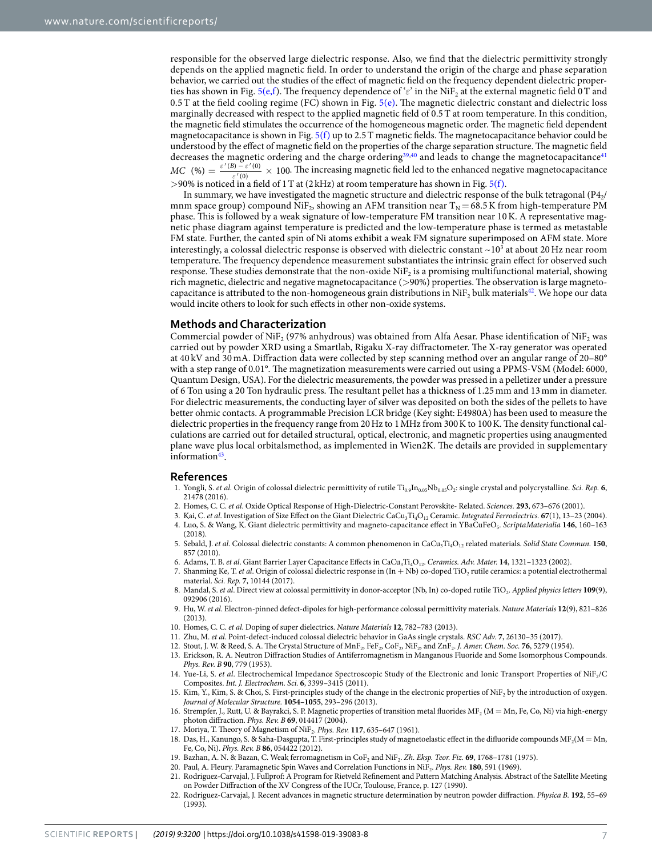responsible for the observed large dielectric response. Also, we find that the dielectric permittivity strongly depends on the applied magnetic field. In order to understand the origin of the charge and phase separation behavior, we carried out the studies of the effect of magnetic field on the frequency dependent dielectric proper-ties has shown in Fig. [5\(e,f](#page-5-0)). The frequency dependence of 'ε' in the NiF<sub>2</sub> at the external magnetic field 0 T and 0.5 T at the field cooling regime (FC) shown in Fig.  $5(e)$ . The magnetic dielectric constant and dielectric loss marginally decreased with respect to the applied magnetic field of 0.5 T at room temperature. In this condition, the magnetic field stimulates the occurrence of the homogeneous magnetic order. The magnetic field dependent magnetocapacitance is shown in Fig.  $5(f)$  up to 2.5 T magnetic fields. The magnetocapacitance behavior could be understood by the effect of magnetic field on the properties of the charge separation structure. The magnetic field decreases the magnetic ordering and the charge ordering<sup>[39](#page-7-16)[,40](#page-7-17)</sup> and leads to change the magnetocapacitance<sup>[41](#page-7-18)</sup>  $=\frac{\varepsilon'(B)-\varepsilon'(0)}{\varepsilon'(0)}\times$ *ε*  $MC$  (%)  $=\frac{\varepsilon'(B)-\varepsilon'(0)}{\varepsilon'(B)}\times 100$ . The increasing magnetic field led to the enhanced negative magnetocapacitance ′ (0) >90% is noticed in a field of 1 T at (2 kHz) at room temperature has shown in Fig. [5\(f\).](#page-5-0)

In summary, we have investigated the magnetic structure and dielectric response of the bulk tetragonal (P4 $_2$ ) mnm space group) compound NiF<sub>2</sub>, showing an AFM transition near T<sub>N</sub> = 68.5 K from high-temperature PM phase. This is followed by a weak signature of low-temperature FM transition near 10 K. A representative magnetic phase diagram against temperature is predicted and the low-temperature phase is termed as metastable FM state. Further, the canted spin of Ni atoms exhibit a weak FM signature superimposed on AFM state. More interestingly, a colossal dielectric response is observed with dielectric constant ~10<sup>3</sup> at about 20 Hz near room temperature. The frequency dependence measurement substantiates the intrinsic grain effect for observed such response. These studies demonstrate that the non-oxide NiF<sub>2</sub> is a promising multifunctional material, showing rich magnetic, dielectric and negative magnetocapacitance (>90%) properties. The observation is large magnetocapacitance is attributed to the non-homogeneous grain distributions in Ni $F_2$  bulk materials<sup>[42](#page-7-19)</sup>. We hope our data would incite others to look for such effects in other non-oxide systems.

#### **Methods and Characterization**

Commercial powder of NiF<sub>2</sub> (97% anhydrous) was obtained from Alfa Aesar. Phase identification of NiF<sub>2</sub> was carried out by powder XRD using a Smartlab, Rigaku X-ray diffractometer. The X-ray generator was operated at 40 kV and 30 mA. Diffraction data were collected by step scanning method over an angular range of 20–80° with a step range of 0.01°. The magnetization measurements were carried out using a PPMS-VSM (Model: 6000, Quantum Design, USA). For the dielectric measurements, the powder was pressed in a pelletizer under a pressure of 6 Ton using a 20 Ton hydraulic press. The resultant pellet has a thickness of 1.25 mm and 13 mm in diameter. For dielectric measurements, the conducting layer of silver was deposited on both the sides of the pellets to have better ohmic contacts. A programmable Precision LCR bridge (Key sight: E4980A) has been used to measure the dielectric properties in the frequency range from 20 Hz to 1 MHz from 300 K to 100 K. The density functional calculations are carried out for detailed structural, optical, electronic, and magnetic properties using anaugmented plane wave plus local orbitalsmethod, as implemented in Wien2K. The details are provided in supplementary information<sup>[43](#page-7-20)</sup>.

#### **References**

- <span id="page-6-0"></span>1. Yongli, S. et al. Origin of colossal dielectric permittivity of rutile Ti<sub>0.9</sub>In<sub>0.05</sub>Nb<sub>0.05</sub>O<sub>2</sub>: single crystal and polycrystalline. Sci. Rep. **6**, 21478 (2016).
- 2. Homes, C. C. et al. Oxide Optical Response of High-Dielectric-Constant Perovskite- Related. Sciences. **293**, 673–676 (2001).
- <span id="page-6-1"></span>3. Kai, C. et al. Investigation of Size Effect on the Giant Dielectric CaCu<sub>3</sub>Ti<sub>4</sub>O<sub>12</sub> Ceramic. Integrated Ferroelectrics. **67**(1), 13-23 (2004). 4. Luo, S. & Wang, K. Giant dielectric permittivity and magneto-capacitance effect in YBaCuFeO<sub>5</sub>. ScriptaMaterialia 146, 160-163
- <span id="page-6-2"></span>(2018). 5. Sebald, J. et al. Colossal dielectric constants: A common phenomenon in CaCu<sub>3</sub>Ti<sub>4</sub>O<sub>12</sub> related materials. Solid State Commun. **150**, 857 (2010).
- <span id="page-6-3"></span>6. Adams, T. B. et al. Giant Barrier Layer Capacitance Effects in CaCu<sub>3</sub>Ti<sub>4</sub>O<sub>12</sub>. Ceramics. Adv. Mater. **14**, 1321-1323 (2002).
- <span id="page-6-4"></span>7. Shanming Ke, T. et al. Origin of colossal dielectric response in  $(In + Nb)$  co-doped TiO<sub>2</sub> rutile ceramics: a potential electrothermal material. Sci. Rep. **7**, 10144 (2017).
- 8. Mandal, S. et al. Direct view at colossal permittivity in donor-acceptor (Nb, In) co-doped rutile TiO<sub>2</sub>. Applied physics letters 109(9), 092906 (2016).
- 9. Hu, W. et al. Electron-pinned defect-dipoles for high-performance colossal permittivity materials. Nature Materials **12**(9), 821–826 (2013).
- <span id="page-6-5"></span>10. Homes, C. C. et al. Doping of super dielectrics. Nature Materials **12**, 782–783 (2013).
- <span id="page-6-6"></span>11. Zhu, M. et al. Point-defect-induced colossal dielectric behavior in GaAs single crystals. RSC Adv. **7**, 26130–35 (2017).
- <span id="page-6-7"></span>12. Stout, J. W. & Reed, S. A. The Crystal Structure of MnF<sub>2</sub>, FeF<sub>2</sub>, CoF<sub>2</sub>, NiF<sub>2</sub>, and ZnF<sub>2</sub>. *J. Amer. Chem. Soc.* **76**, 5279 (1954).
- <span id="page-6-8"></span> 13. Erickson, R. A. Neutron Diffraction Studies of Antiferromagnetism in Manganous Fluoride and Some Isomorphous Compounds. Phys. Rev. B **90**, 779 (1953).
- <span id="page-6-9"></span>14. Yue-Li, S. et al. Electrochemical Impedance Spectroscopic Study of the Electronic and Ionic Transport Properties of NiF2/C Composites. Int. J. Electrochem. Sci. **6**, 3399–3415 (2011).
- <span id="page-6-10"></span>15. Kim, Y., Kim, S. & Choi, S. First-principles study of the change in the electronic properties of NiF<sub>2</sub> by the introduction of oxygen. Journal of Molecular Structure. **1054–1055**, 293–296 (2013).
- <span id="page-6-11"></span>16. Strempfer, J., Rutt, U. & Bayrakci, S. P. Magnetic properties of transition metal fluorides  $MF_2(M = Mn, Fe, Co, Ni)$  via high-energy photon diffraction. Phys. Rev. B **69**, 014417 (2004).
- <span id="page-6-12"></span>17. Moriya, T. Theory of Magnetism of NiF<sub>2</sub>. Phys. Rev. 117, 635-647 (1961).
- <span id="page-6-13"></span>18. Das, H., Kanungo, S. & Saha-Dasgupta, T. First-principles study of magnetoelastic effect in the difluoride compounds  $MF_2(M = Mn,$ Fe, Co, Ni). Phys. Rev. B **86**, 054422 (2012).
- <span id="page-6-14"></span>19. Bazhan, A. N. & Bazan, C. Weak ferromagnetism in CoF<sub>2</sub> and NiF<sub>2</sub>. Zh. Eksp. Teor. Fiz. 69, 1768-1781 (1975).
- <span id="page-6-15"></span>20. Paul, A. Fleury. Paramagnetic Spin Waves and Correlation Functions in NiF<sup>2</sup> . Phys. Rev. **180**, 591 (1969).
- <span id="page-6-16"></span> 21. Rodriguez-Carvajal, J. Fullprof: A Program for Rietveld Refinement and Pattern Matching Analysis. Abstract of the Satellite Meeting on Powder Diffraction of the XV Congress of the IUCr, Toulouse, France, p. 127 (1990).
- <span id="page-6-17"></span> 22. Rodriguez-Carvajal, J. Recent advances in magnetic structure determination by neutron powder diffraction. Physica B. **192**, 55–69 (1993).